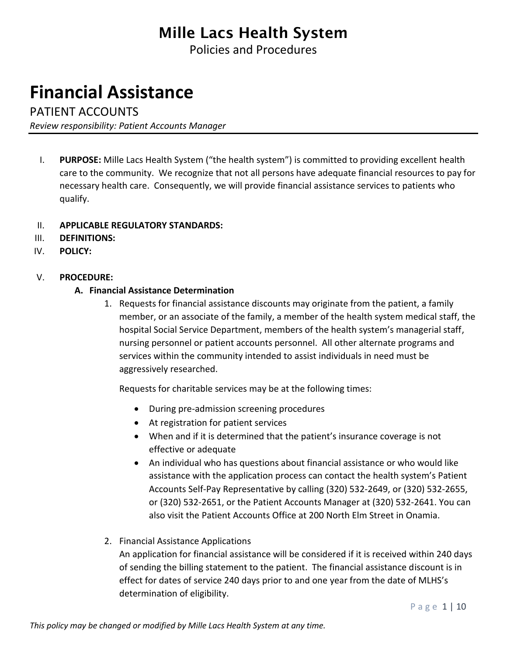Policies and Procedures

# **Financial Assistance**

PATIENT ACCOUNTS

*Review responsibility: Patient Accounts Manager*

I. **PURPOSE:** Mille Lacs Health System ("the health system") is committed to providing excellent health care to the community. We recognize that not all persons have adequate financial resources to pay for necessary health care. Consequently, we will provide financial assistance services to patients who qualify.

### II. **APPLICABLE REGULATORY STANDARDS:**

- III. **DEFINITIONS:**
- IV. **POLICY:**

### V. **PROCEDURE:**

### **A. Financial Assistance Determination**

1. Requests for financial assistance discounts may originate from the patient, a family member, or an associate of the family, a member of the health system medical staff, the hospital Social Service Department, members of the health system's managerial staff, nursing personnel or patient accounts personnel. All other alternate programs and services within the community intended to assist individuals in need must be aggressively researched.

Requests for charitable services may be at the following times:

- During pre-admission screening procedures
- At registration for patient services
- When and if it is determined that the patient's insurance coverage is not effective or adequate
- An individual who has questions about financial assistance or who would like assistance with the application process can contact the health system's Patient Accounts Self-Pay Representative by calling (320) 532-2649, or (320) 532-2655, or (320) 532-2651, or the Patient Accounts Manager at (320) 532-2641. You can also visit the Patient Accounts Office at 200 North Elm Street in Onamia.

### 2. Financial Assistance Applications

An application for financial assistance will be considered if it is received within 240 days of sending the billing statement to the patient. The financial assistance discount is in effect for dates of service 240 days prior to and one year from the date of MLHS's determination of eligibility.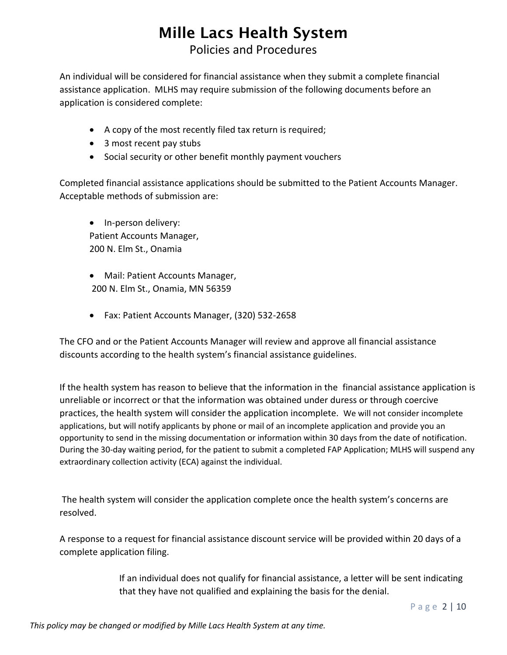## **Mille Lacs Health System** Policies and Procedures

An individual will be considered for financial assistance when they submit a complete financial assistance application. MLHS may require submission of the following documents before an application is considered complete:

- A copy of the most recently filed tax return is required;
- 3 most recent pay stubs
- Social security or other benefit monthly payment vouchers

Completed financial assistance applications should be submitted to the Patient Accounts Manager. Acceptable methods of submission are:

• In-person delivery: Patient Accounts Manager, 200 N. Elm St., Onamia

- Mail: Patient Accounts Manager, 200 N. Elm St., Onamia, MN 56359
- Fax: Patient Accounts Manager, (320) 532-2658

The CFO and or the Patient Accounts Manager will review and approve all financial assistance discounts according to the health system's financial assistance guidelines.

If the health system has reason to believe that the information in the financial assistance application is unreliable or incorrect or that the information was obtained under duress or through coercive practices, the health system will consider the application incomplete. We will not consider incomplete applications, but will notify applicants by phone or mail of an incomplete application and provide you an opportunity to send in the missing documentation or information within 30 days from the date of notification. During the 30-day waiting period, for the patient to submit a completed FAP Application; MLHS will suspend any extraordinary collection activity (ECA) against the individual.

The health system will consider the application complete once the health system's concerns are resolved.

A response to a request for financial assistance discount service will be provided within 20 days of a complete application filing.

> If an individual does not qualify for financial assistance, a letter will be sent indicating that they have not qualified and explaining the basis for the denial.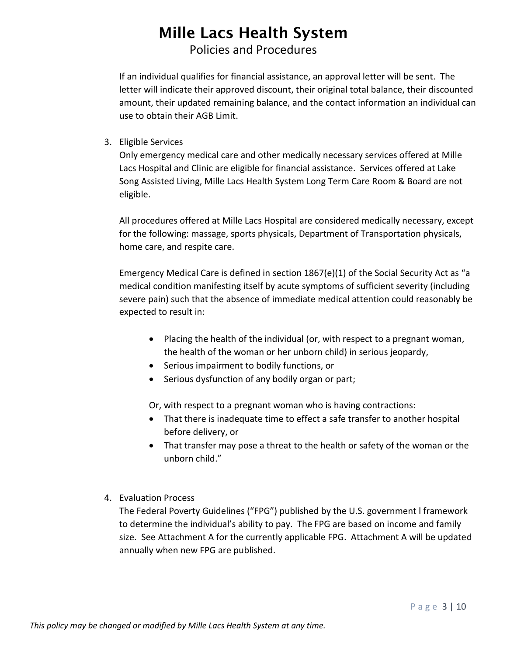## **Mille Lacs Health System** Policies and Procedures

If an individual qualifies for financial assistance, an approval letter will be sent. The letter will indicate their approved discount, their original total balance, their discounted amount, their updated remaining balance, and the contact information an individual can use to obtain their AGB Limit.

3. Eligible Services

Only emergency medical care and other medically necessary services offered at Mille Lacs Hospital and Clinic are eligible for financial assistance. Services offered at Lake Song Assisted Living, Mille Lacs Health System Long Term Care Room & Board are not eligible.

All procedures offered at Mille Lacs Hospital are considered medically necessary, except for the following: massage, sports physicals, Department of Transportation physicals, home care, and respite care.

Emergency Medical Care is defined in section 1867(e)(1) of the Social Security Act as "a medical condition manifesting itself by acute symptoms of sufficient severity (including severe pain) such that the absence of immediate medical attention could reasonably be expected to result in:

- Placing the health of the individual (or, with respect to a pregnant woman, the health of the woman or her unborn child) in serious jeopardy,
- Serious impairment to bodily functions, or
- Serious dysfunction of any bodily organ or part;

Or, with respect to a pregnant woman who is having contractions:

- That there is inadequate time to effect a safe transfer to another hospital before delivery, or
- That transfer may pose a threat to the health or safety of the woman or the unborn child."
- 4. Evaluation Process

The Federal Poverty Guidelines ("FPG") published by the U.S. government l framework to determine the individual's ability to pay. The FPG are based on income and family size. See Attachment A for the currently applicable FPG. Attachment A will be updated annually when new FPG are published.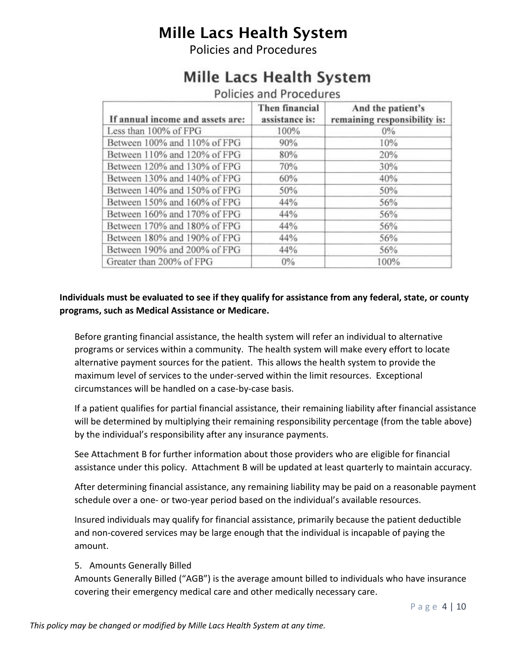Policies and Procedures

# Mille Lacs Health System

| Policies and Procedures          |                                  |                                                   |  |  |  |  |  |  |  |
|----------------------------------|----------------------------------|---------------------------------------------------|--|--|--|--|--|--|--|
| If annual income and assets are: | Then financial<br>assistance is: | And the patient's<br>remaining responsibility is: |  |  |  |  |  |  |  |
| Less than 100% of FPG            | 100%                             | $0\%$                                             |  |  |  |  |  |  |  |
| Between 100% and 110% of FPG     | 90%                              | 10%                                               |  |  |  |  |  |  |  |
| Between 110% and 120% of FPG     | 80%                              | 20%                                               |  |  |  |  |  |  |  |
| Between 120% and 130% of FPG     | 70%                              | 30%                                               |  |  |  |  |  |  |  |
| Between 130% and 140% of FPG     | 60%                              | 40%                                               |  |  |  |  |  |  |  |
| Between 140% and 150% of FPG     | 50%                              | 50%                                               |  |  |  |  |  |  |  |
| Between 150% and 160% of FPG     | 44%                              | 56%                                               |  |  |  |  |  |  |  |
| Between 160% and 170% of FPG     | 44%                              | 56%                                               |  |  |  |  |  |  |  |
| Between 170% and 180% of FPG     | 44%                              | 56%                                               |  |  |  |  |  |  |  |
| Between 180% and 190% of FPG     | 44%                              | 56%                                               |  |  |  |  |  |  |  |
| Between 190% and 200% of FPG     | 44%                              | 56%                                               |  |  |  |  |  |  |  |
| Greater than 200% of FPG         | 0%                               | 100%                                              |  |  |  |  |  |  |  |

### **Individuals must be evaluated to see if they qualify for assistance from any federal, state, or county programs, such as Medical Assistance or Medicare.**

Before granting financial assistance, the health system will refer an individual to alternative programs or services within a community. The health system will make every effort to locate alternative payment sources for the patient. This allows the health system to provide the maximum level of services to the under-served within the limit resources. Exceptional circumstances will be handled on a case-by-case basis.

If a patient qualifies for partial financial assistance, their remaining liability after financial assistance will be determined by multiplying their remaining responsibility percentage (from the table above) by the individual's responsibility after any insurance payments.

See Attachment B for further information about those providers who are eligible for financial assistance under this policy. Attachment B will be updated at least quarterly to maintain accuracy.

After determining financial assistance, any remaining liability may be paid on a reasonable payment schedule over a one- or two-year period based on the individual's available resources.

Insured individuals may qualify for financial assistance, primarily because the patient deductible and non-covered services may be large enough that the individual is incapable of paying the amount.

### 5. Amounts Generally Billed

Amounts Generally Billed ("AGB") is the average amount billed to individuals who have insurance covering their emergency medical care and other medically necessary care.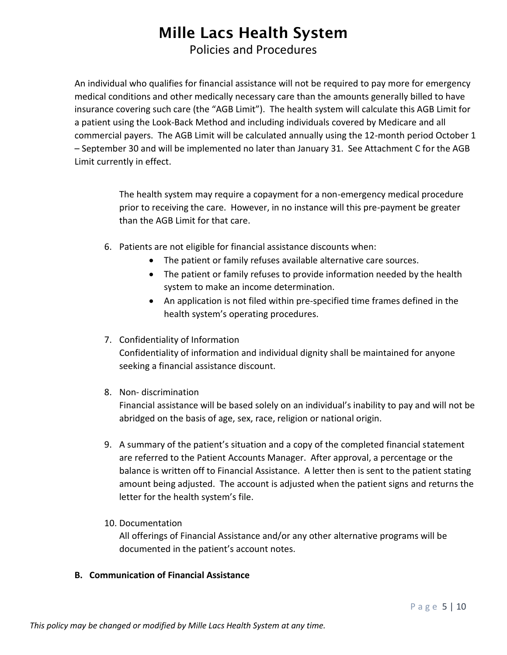Policies and Procedures

An individual who qualifies for financial assistance will not be required to pay more for emergency medical conditions and other medically necessary care than the amounts generally billed to have insurance covering such care (the "AGB Limit"). The health system will calculate this AGB Limit for a patient using the Look-Back Method and including individuals covered by Medicare and all commercial payers. The AGB Limit will be calculated annually using the 12-month period October 1 – September 30 and will be implemented no later than January 31. See Attachment C for the AGB Limit currently in effect.

> The health system may require a copayment for a non-emergency medical procedure prior to receiving the care. However, in no instance will this pre-payment be greater than the AGB Limit for that care.

- 6. Patients are not eligible for financial assistance discounts when:
	- The patient or family refuses available alternative care sources.
	- The patient or family refuses to provide information needed by the health system to make an income determination.
	- An application is not filed within pre-specified time frames defined in the health system's operating procedures.
- 7. Confidentiality of Information

Confidentiality of information and individual dignity shall be maintained for anyone seeking a financial assistance discount.

8. Non- discrimination

Financial assistance will be based solely on an individual's inability to pay and will not be abridged on the basis of age, sex, race, religion or national origin.

- 9. A summary of the patient's situation and a copy of the completed financial statement are referred to the Patient Accounts Manager. After approval, a percentage or the balance is written off to Financial Assistance. A letter then is sent to the patient stating amount being adjusted. The account is adjusted when the patient signs and returns the letter for the health system's file.
- 10. Documentation

All offerings of Financial Assistance and/or any other alternative programs will be documented in the patient's account notes.

#### **B. Communication of Financial Assistance**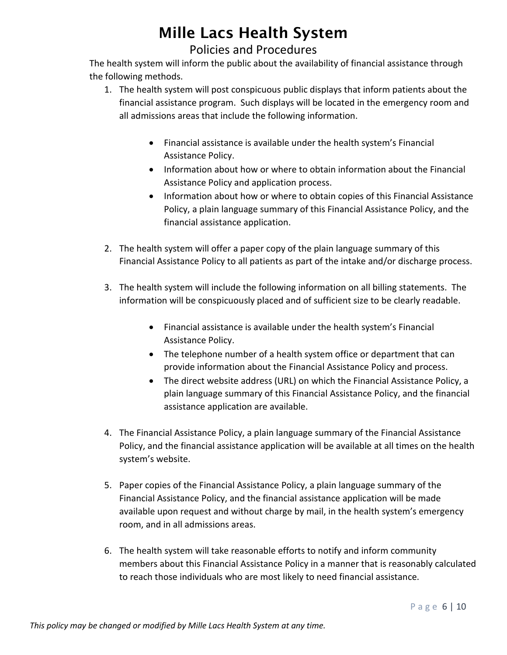## Policies and Procedures

The health system will inform the public about the availability of financial assistance through the following methods.

- 1. The health system will post conspicuous public displays that inform patients about the financial assistance program. Such displays will be located in the emergency room and all admissions areas that include the following information.
	- Financial assistance is available under the health system's Financial Assistance Policy.
	- Information about how or where to obtain information about the Financial Assistance Policy and application process.
	- Information about how or where to obtain copies of this Financial Assistance Policy, a plain language summary of this Financial Assistance Policy, and the financial assistance application.
- 2. The health system will offer a paper copy of the plain language summary of this Financial Assistance Policy to all patients as part of the intake and/or discharge process.
- 3. The health system will include the following information on all billing statements. The information will be conspicuously placed and of sufficient size to be clearly readable.
	- Financial assistance is available under the health system's Financial Assistance Policy.
	- The telephone number of a health system office or department that can provide information about the Financial Assistance Policy and process.
	- The direct website address (URL) on which the Financial Assistance Policy, a plain language summary of this Financial Assistance Policy, and the financial assistance application are available.
- 4. The Financial Assistance Policy, a plain language summary of the Financial Assistance Policy, and the financial assistance application will be available at all times on the health system's website.
- 5. Paper copies of the Financial Assistance Policy, a plain language summary of the Financial Assistance Policy, and the financial assistance application will be made available upon request and without charge by mail, in the health system's emergency room, and in all admissions areas.
- 6. The health system will take reasonable efforts to notify and inform community members about this Financial Assistance Policy in a manner that is reasonably calculated to reach those individuals who are most likely to need financial assistance.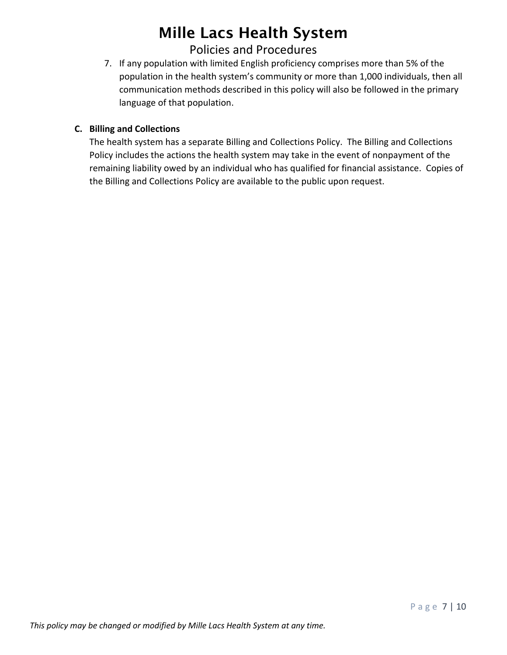## Policies and Procedures

7. If any population with limited English proficiency comprises more than 5% of the population in the health system's community or more than 1,000 individuals, then all communication methods described in this policy will also be followed in the primary language of that population.

### **C. Billing and Collections**

The health system has a separate Billing and Collections Policy. The Billing and Collections Policy includes the actions the health system may take in the event of nonpayment of the remaining liability owed by an individual who has qualified for financial assistance. Copies of the Billing and Collections Policy are available to the public upon request.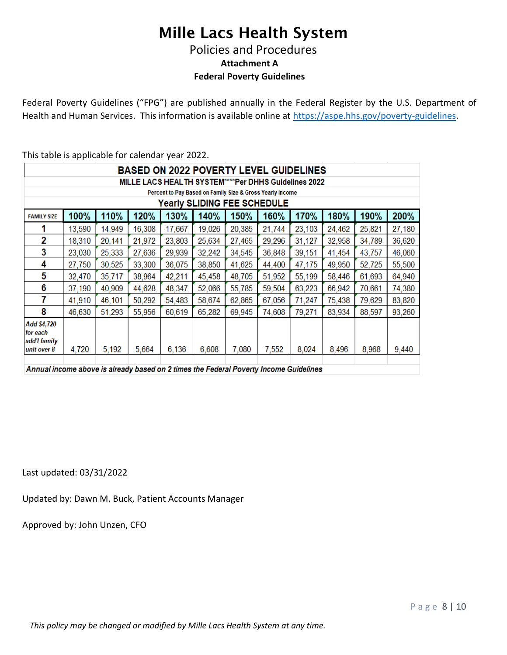Policies and Procedures

**Attachment A**

**Federal Poverty Guidelines**

Federal Poverty Guidelines ("FPG") are published annually in the Federal Register by the U.S. Department of Health and Human Services. This information is available online at [https://aspe.hhs.gov/poverty-guidelines.](https://aspe.hhs.gov/poverty-guidelines)

This table is applicable for calendar year 2022.

| <b>BASED ON 2022 POVERTY LEVEL GUIDELINES</b>             |        |        |        |        |        |        |        |        |        |        |        |  |  |
|-----------------------------------------------------------|--------|--------|--------|--------|--------|--------|--------|--------|--------|--------|--------|--|--|
| MILLE LACS HEALTH SYSTEM****Per DHHS Guidelines 2022      |        |        |        |        |        |        |        |        |        |        |        |  |  |
| Percent to Pay Based on Family Size & Gross Yearly Income |        |        |        |        |        |        |        |        |        |        |        |  |  |
| <b>Yearly SLIDING FEE SCHEDULE</b>                        |        |        |        |        |        |        |        |        |        |        |        |  |  |
| <b>FAMILY SIZE</b>                                        | 100%   | 110%   | 120%   | 130%   | 140%   | 150%   | 160%   | 170%   | 180%   | 190%   | 200%   |  |  |
|                                                           | 13,590 | 14,949 | 16,308 | 17,667 | 19,026 | 20,385 | 21,744 | 23,103 | 24,462 | 25,821 | 27,180 |  |  |
| 2                                                         | 18,310 | 20,141 | 21,972 | 23,803 | 25,634 | 27,465 | 29,296 | 31,127 | 32,958 | 34,789 | 36,620 |  |  |
| 3                                                         | 23,030 | 25,333 | 27,636 | 29,939 | 32,242 | 34,545 | 36,848 | 39,151 | 41,454 | 43,757 | 46,060 |  |  |
| 4                                                         | 27,750 | 30,525 | 33,300 | 36,075 | 38,850 | 41,625 | 44,400 | 47,175 | 49,950 | 52,725 | 55,500 |  |  |
| 5                                                         | 32,470 | 35,717 | 38,964 | 42,211 | 45,458 | 48,705 | 51,952 | 55,199 | 58,446 | 61,693 | 64,940 |  |  |
| 6                                                         | 37,190 | 40,909 | 44,628 | 48,347 | 52,066 | 55,785 | 59,504 | 63,223 | 66,942 | 70,661 | 74,380 |  |  |
| 7                                                         | 41,910 | 46,101 | 50,292 | 54,483 | 58,674 | 62,865 | 67,056 | 71,247 | 75,438 | 79,629 | 83,820 |  |  |
| 8                                                         | 46,630 | 51,293 | 55,956 | 60,619 | 65,282 | 69,945 | 74,608 | 79,271 | 83,934 | 88,597 | 93,260 |  |  |
| Add \$4,720<br>for each<br>add'I family<br>unit over 8    | 4,720  | 5,192  | 5,664  | 6,136  | 6,608  | 7,080  | 7,552  | 8,024  | 8,496  | 8,968  | 9,440  |  |  |
|                                                           |        |        |        |        |        |        |        |        |        |        |        |  |  |

Annual income above is already based on 2 times the Federal Poverty Income Guidelines

Last updated: 03/31/2022

Updated by: Dawn M. Buck, Patient Accounts Manager

Approved by: John Unzen, CFO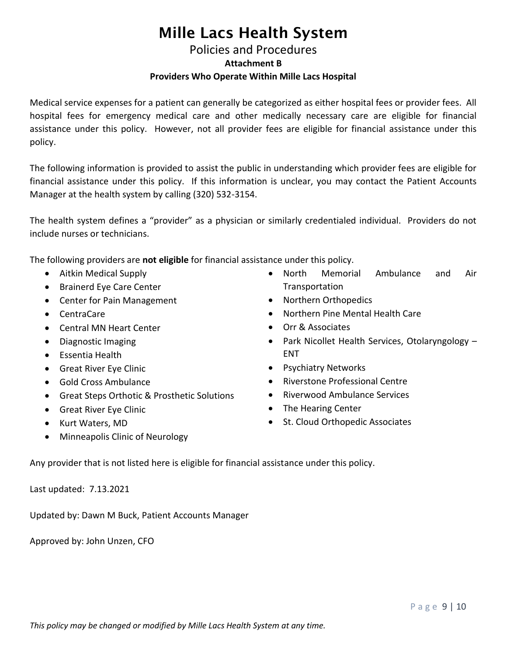### Policies and Procedures **Attachment B Providers Who Operate Within Mille Lacs Hospital**

Medical service expenses for a patient can generally be categorized as either hospital fees or provider fees. All hospital fees for emergency medical care and other medically necessary care are eligible for financial assistance under this policy. However, not all provider fees are eligible for financial assistance under this policy.

The following information is provided to assist the public in understanding which provider fees are eligible for financial assistance under this policy. If this information is unclear, you may contact the Patient Accounts Manager at the health system by calling (320) 532-3154.

The health system defines a "provider" as a physician or similarly credentialed individual. Providers do not include nurses or technicians.

The following providers are **not eligible** for financial assistance under this policy.

- Aitkin Medical Supply
- Brainerd Eye Care Center
- Center for Pain Management
- CentraCare
- Central MN Heart Center
- Diagnostic Imaging
- Essentia Health
- Great River Eye Clinic
- Gold Cross Ambulance
- Great Steps Orthotic & Prosthetic Solutions
- Great River Eye Clinic
- Kurt Waters, MD
- Minneapolis Clinic of Neurology
- North Memorial Ambulance and Air **Transportation**
- Northern Orthopedics
- Northern Pine Mental Health Care
- Orr & Associates
- Park Nicollet Health Services, Otolaryngology -ENT
- **•** Psychiatry Networks
- Riverstone Professional Centre
- Riverwood Ambulance Services
- The Hearing Center
- St. Cloud Orthopedic Associates

Any provider that is not listed here is eligible for financial assistance under this policy.

Last updated: 7.13.2021

Updated by: Dawn M Buck, Patient Accounts Manager

Approved by: John Unzen, CFO